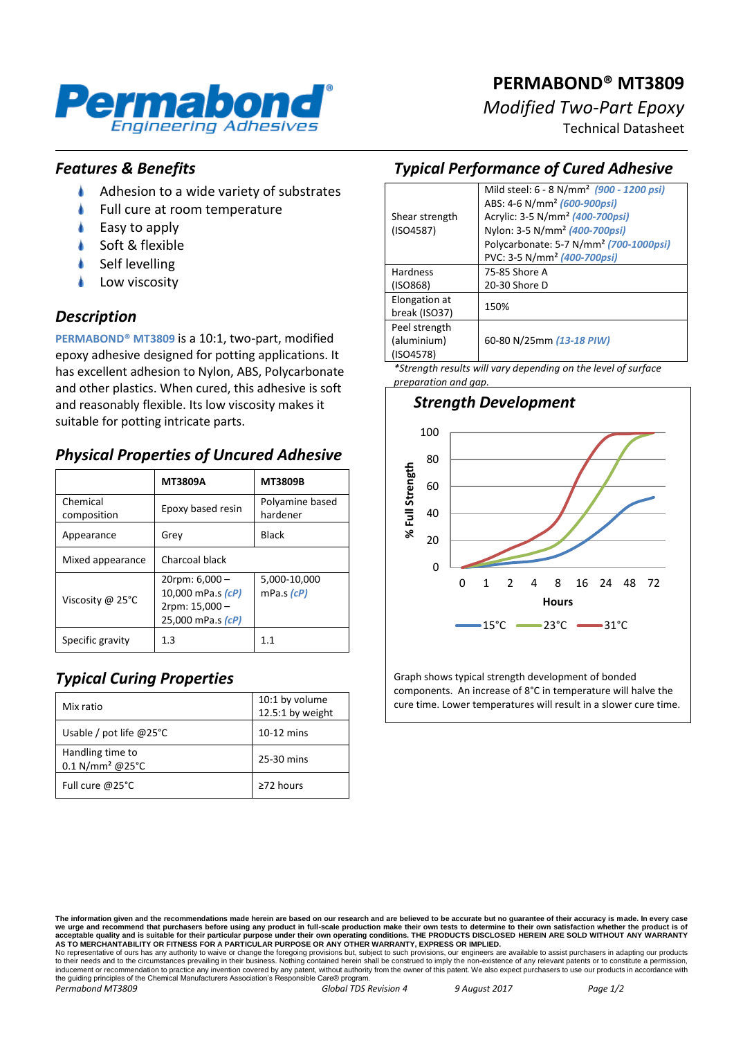

# **PERMABOND® MT3809**

*Modified Two-Part Epoxy*

Technical Datasheet

#### *Features & Benefits*

- ۸ Adhesion to a wide variety of substrates
- Full cure at room temperature
- Easy to apply
- Soft & flexible
- Self levelling
- Low viscosity

#### *Description*

**PERMABOND® MT3809** is a 10:1, two-part, modified epoxy adhesive designed for potting applications. It has excellent adhesion to Nylon, ABS, Polycarbonate and other plastics. When cured, this adhesive is soft and reasonably flexible. Its low viscosity makes it suitable for potting intricate parts.

## *Physical Properties of Uncured Adhesive*

|                         | <b>MT3809A</b>                                                                     | <b>MT3809B</b>              |
|-------------------------|------------------------------------------------------------------------------------|-----------------------------|
| Chemical<br>composition | Epoxy based resin                                                                  | Polyamine based<br>hardener |
| Appearance              | Grev                                                                               | <b>Black</b>                |
| Mixed appearance        | Charcoal black                                                                     |                             |
| Viscosity @ 25°C        | $20$ rpm: 6,000 -<br>10,000 mPa.s (cP)<br>$2$ rpm: $15,000 -$<br>25,000 mPa.s (cP) | 5,000-10,000<br>mPa.s (cP)  |
| Specific gravity        | 1.3                                                                                | 11                          |

# *Typical Curing Properties*

| Mix ratio                                         | 10:1 by volume<br>12.5:1 by weight |
|---------------------------------------------------|------------------------------------|
| Usable / pot life $@25°C$                         | $10-12$ mins                       |
| Handling time to<br>$0.1$ N/mm <sup>2</sup> @25°C | 25-30 mins                         |
| Full cure @25°C                                   | $\geq$ 72 hours                    |

#### *Typical Performance of Cured Adhesive*

|                             | Mild steel: 6 - 8 N/mm <sup>2</sup> (900 - 1200 psi) |  |
|-----------------------------|------------------------------------------------------|--|
| Shear strength<br>(ISO4587) | ABS: 4-6 N/mm <sup>2</sup> (600-900psi)              |  |
|                             | Acrylic: 3-5 N/mm <sup>2</sup> (400-700psi)          |  |
|                             | Nylon: 3-5 N/mm <sup>2</sup> (400-700psi)            |  |
|                             | Polycarbonate: 5-7 N/mm <sup>2</sup> (700-1000psi)   |  |
|                             | PVC: 3-5 N/mm <sup>2</sup> (400-700psi)              |  |
| <b>Hardness</b>             | 75-85 Shore A                                        |  |
| (ISO868)                    | 20-30 Shore D                                        |  |
| Elongation at               | 150%                                                 |  |
| break (ISO37)               |                                                      |  |
| Peel strength               |                                                      |  |
| (aluminium)                 | 60-80 N/25mm (13-18 PIW)                             |  |
| (ISO4578)                   |                                                      |  |
|                             |                                                      |  |

*\*Strength results will vary depending on the level of surface preparation and gap.*



Graph shows typical strength development of bonded components. An increase of 8°C in temperature will halve the cure time. Lower temperatures will result in a slower cure time.

No representative of ours has any authority to waive or change the foregoing provisions but, subject to such provisions, our engineers are available to assist purchasers in adapting our products<br>to their needs and to the c the guiding principles of the Chemical Manufacturers Association's Responsible Care® program.

**The information given and the recommendations made herein are based on our research and are believed to be accurate but no guarantee of their accuracy is made. In every case**  we urge and recommend that purchasers before using any product in full-scale production make their own tests to determine to their own satisfaction whether the product is of<br>acceptable quality and is suitable for their par